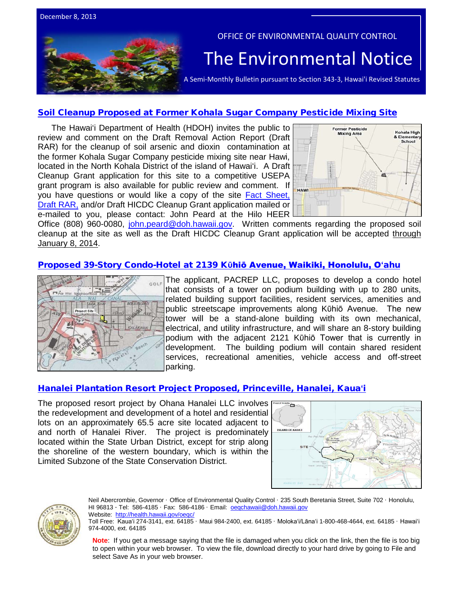

### [Soil Cleanup Proposed at Former Kohala Sugar Company](http://oeqc.doh.hawaii.gov/Shared%20Documents/EA_and_EIS_Online_Library/OTHER%20CHAPTER%20343%20NOTICES/2013-12-08-Soil-Cleanup-Action-Proposed-at-Former-Kohala-Sugar-Company-Pesticide-Mixing-Site.pdf) Pesticide Mixing Site

The Hawai'i Department of Health (HDOH) invites the public to review and comment on the Draft Removal Action Report (Draft RAR) for the cleanup of soil arsenic and dioxin contamination at the former Kohala Sugar Company pesticide mixing site near Hawi, located in the North Kohala District of the island of Hawai'i. A Draft Cleanup Grant application for this site to a competitive USEPA grant program is also available for public review and comment. If you have questions or would like a copy of the site Fact Sheet, [Draft RAR,](http://oeqc.doh.hawaii.gov/Shared%20Documents/EA_and_EIS_Online_Library/OTHER%20CHAPTER%20343%20NOTICES/2013-12-08-Soil-Cleanup-Action-Proposed-at-Former-Kohala-Sugar-Company-Pesticide-Mixing-Site.pdf) and/or Draft HICDC Cleanup Grant application mailed or e-mailed to you, please contact: John Peard at the Hilo HEER



Office (808) 960-0080, [john.peard@doh.hawaii.gov.](mailto:john.peard@doh.hawaii.gov) Written comments regarding the proposed soil cleanup at the site as well as the Draft HICDC Cleanup Grant application will be accepted through January 8, 2014.

### [Proposed 39-Story Condo-Hotel at 2139 K](http://oeqc.doh.hawaii.gov/Shared%20Documents/EA_and_EIS_Online_Library/Oahu/2010s/2013-12-08-OA-5E-DEA-2139-Kuhio.pdf)**ῡ**hiō Avenue, Waikiki, Honolulu, O**ʻ**ahu



The applicant, PACREP LLC, proposes to develop a condo hotel that consists of a tower on podium building with up to 280 units, related building support facilities, resident services, amenities and public streetscape improvements along Kūhiō Avenue. The new tower will be a stand-alone building with its own mechanical, electrical, and utility infrastructure, and will share an 8-story building podium with the adjacent 2121 Kūhiō Tower that is currently in development. The building podium will contain shared resident services, recreational amenities, vehicle access and off-street parking.

#### [Hanalei Plantation Resort Project Proposed, Princeville, Hanalei, Kaua](http://oeqc.doh.hawaii.gov/Shared%20Documents/EA_and_EIS_Online_Library/Kauai/2010s/2013-12-08-KA-5E-EISPN-Hanalei-Plantation-Resort.pdf)**ʻ**i

The proposed resort project by Ohana Hanalei LLC involves the redevelopment and development of a hotel and residential lots on an approximately 65.5 acre site located adjacent to and north of Hanalei River. The project is predominately located within the State Urban District, except for strip along the shoreline of the western boundary, which is within the Limited Subzone of the State Conservation District.





Neil Abercrombie, Governor · Office of Environmental Quality Control · 235 South Beretania Street, Suite 702 · Honolulu, HI 96813 · Tel: 586-4185 · Fax: 586-4186 · Email: oegchawaii@doh.hawaii.gov

Website: <http://health.hawaii.gov/oeqc/>

Toll Free: Kauaʻi 274-3141, ext. 64185 · Maui 984-2400, ext. 64185 · Molokaʻi/Lānaʻi 1-800-468-4644, ext. 64185 · Hawaiʻi 974-4000, ext. 64185

**Note**: If you get a message saying that the file is damaged when you click on the link, then the file is too big to open within your web browser. To view the file, download directly to your hard drive by going to File and select Save As in your web browser.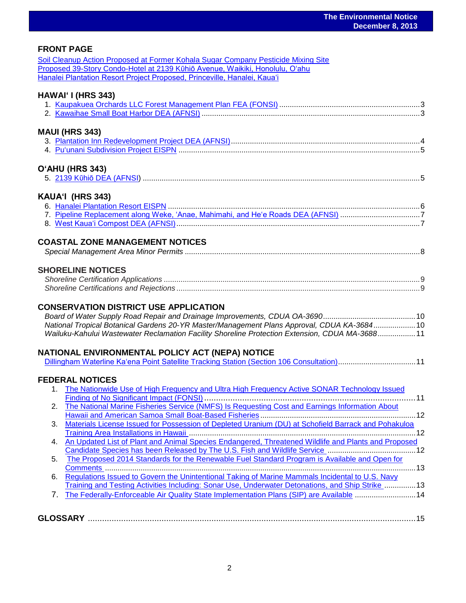### **FRONT PAGE**

| Soil Cleanup Action Proposed at Former Kohala Sugar Company Pesticide Mixing Site |  |
|-----------------------------------------------------------------------------------|--|
| Proposed 39-Story Condo-Hotel at 2139 Kūhiō Avenue, Waikiki, Honolulu, O'ahu      |  |
| Hanalei Plantation Resort Project Proposed, Princeville, Hanalei, Kaua'i          |  |

#### **HAWAIʻ I (HRS 343)**

### **MAUI (HRS 343)**

#### **OʻAHU (HRS 343)**

|--|--|--|--|

### **KAUAʻI (HRS 343)**

### **COASTAL ZONE MANAGEMENT NOTICES**

|--|

### **SHORELINE NOTICES**

### **CONSERVATION DISTRICT USE APPLICATION**

*Board of Water Supply Road Repair and Drainage Improvements, CDUA OA-3690............................................*10 *National Tropical Botanical Gardens 20-YR Master/Management Plans Approval, CDUA KA-3684....................*10 *Wailuku-Kahului Wastewater Reclamation Facility Shoreline Protection Extension, CDUA MA-3688..................*11

#### **NATIONAL ENVIRONMENTAL POLICY ACT (NEPA) NOTICE**

| Dillingham Waterline Ka'ena Point Satellite Tracking Station (Section 106 Consultation)11 |  |  |
|-------------------------------------------------------------------------------------------|--|--|
|                                                                                           |  |  |

### **FEDERAL NOTICES**

|    | The Nationwide Use of High Frequency and Ultra High Frequency Active SONAR Technology Issued        |
|----|-----------------------------------------------------------------------------------------------------|
|    |                                                                                                     |
| 2. | The National Marine Fisheries Service (NMFS) Is Requesting Cost and Earnings Information About      |
|    |                                                                                                     |
| 3. | Materials License Issued for Possession of Depleted Uranium (DU) at Schofield Barrack and Pohakuloa |
|    |                                                                                                     |
| 4. | An Updated List of Plant and Animal Species Endangered, Threatened Wildlife and Plants and Proposed |
|    |                                                                                                     |
| 5. | The Proposed 2014 Standards for the Renewable Fuel Standard Program is Available and Open for       |
|    |                                                                                                     |
| 6. | Regulations Issued to Govern the Unintentional Taking of Marine Mammals Incidental to U.S. Navy     |
|    | Training and Testing Activities Including: Sonar Use, Underwater Detonations, and Ship Strike 13    |
|    | The Federally-Enforceable Air Quality State Implementation Plans (SIP) are Available 14             |
|    |                                                                                                     |
|    |                                                                                                     |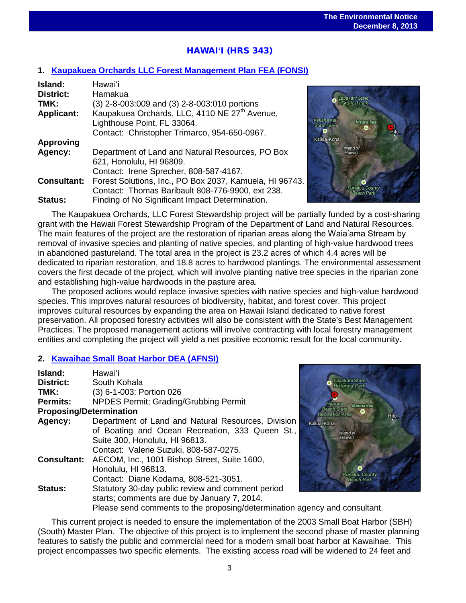# HAWAI**ʻ**I (HRS 343)

#### **1. [Kaupakuea Orchards LLC Forest Management Plan](http://oeqc.doh.hawaii.gov/Shared%20Documents/EA_and_EIS_Online_Library/Hawaii/2010s/2013-12-08-HA-5E-FEA-Kaupakuea-Orchards-LLC-Forest-Management-Plan.pdf) FEA (FONSI)**

| Island:            | Hawai'i                                                   |
|--------------------|-----------------------------------------------------------|
| <b>District:</b>   | Hamakua                                                   |
| TMK:               | (3) 2-8-003:009 and (3) 2-8-003:010 portions              |
| <b>Applicant:</b>  | Kaupakuea Orchards, LLC, 4110 NE 27 <sup>th</sup> Avenue, |
|                    | Lighthouse Point, FL 33064.                               |
|                    | Contact: Christopher Trimarco, 954-650-0967.              |
| <b>Approving</b>   |                                                           |
| Agency:            | Department of Land and Natural Resources, PO Box          |
|                    | 621, Honolulu, HI 96809.                                  |
|                    | Contact: Irene Sprecher, 808-587-4167.                    |
| <b>Consultant:</b> | Forest Solutions, Inc., PO Box 2037, Kamuela, HI 96743.   |
|                    | Contact: Thomas Baribault 808-776-9900, ext 238.          |
| Status:            | Finding of No Significant Impact Determination.           |



The Kaupakuea Orchards, LLC Forest Stewardship project will be partially funded by a cost-sharing grant with the Hawaii Forest Stewardship Program of the Department of Land and Natural Resources. The main features of the project are the restoration of riparian areas along the Waia'ama Stream by removal of invasive species and planting of native species, and planting of high-value hardwood trees in abandoned pastureland. The total area in the project is 23.2 acres of which 4.4 acres will be dedicated to riparian restoration, and 18.8 acres to hardwood plantings. The environmental assessment covers the first decade of the project, which will involve planting native tree species in the riparian zone and establishing high-value hardwoods in the pasture area.

The proposed actions would replace invasive species with native species and high-value hardwood species. This improves natural resources of biodiversity, habitat, and forest cover. This project improves cultural resources by expanding the area on Hawaii Island dedicated to native forest preservation. All proposed forestry activities will also be consistent with the State's Best Management Practices. The proposed management actions will involve contracting with local forestry management entities and completing the project will yield a net positive economic result for the local community.

#### **2. [Kawaihae Small Boat Harbor DEA \(AFNSI\)](http://oeqc.doh.hawaii.gov/Shared%20Documents/EA_and_EIS_Online_Library/Hawaii/2010s/2013-12-08-HA-5B-DEA-Kawaihae-Small-Boat-Harbor.pdf)**

| Island:            | Hawai'i                                                                                                                                                                           |           |
|--------------------|-----------------------------------------------------------------------------------------------------------------------------------------------------------------------------------|-----------|
| District:          | South Kohala                                                                                                                                                                      |           |
| TMK:               | (3) 6-1-003: Portion 026                                                                                                                                                          |           |
| <b>Permits:</b>    | NPDES Permit; Grading/Grubbing Permit                                                                                                                                             |           |
|                    | <b>Proposing/Determination</b>                                                                                                                                                    |           |
| <b>Agency:</b>     | Department of Land and Natural Resources, Division<br>of Boating and Ocean Recreation, 333 Queen St.,<br>Suite 300, Honolulu, HI 96813.<br>Contact: Valerie Suzuki, 808-587-0275. | Kalua-Kon |
| <b>Consultant:</b> | AECOM, Inc., 1001 Bishop Street, Suite 1600,<br>Honolulu, HI 96813.<br>Contact: Diane Kodama, 808-521-3051.                                                                       |           |
| <b>Status:</b>     | Statutory 30-day public review and comment period<br>starts; comments are due by January 7, 2014.<br>Please send comments to the proposing/determination agency and               |           |



nd consultant.

This current project is needed to ensure the implementation of the 2003 Small Boat Harbor (SBH) (South) Master Plan. The objective of this project is to implement the second phase of master planning features to satisfy the public and commercial need for a modern small boat harbor at Kawaihae. This project encompasses two specific elements. The existing access road will be widened to 24 feet and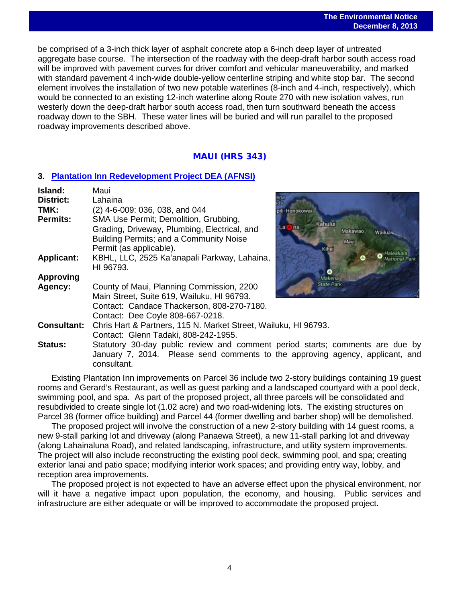be comprised of a 3-inch thick layer of asphalt concrete atop a 6-inch deep layer of untreated aggregate base course. The intersection of the roadway with the deep-draft harbor south access road will be improved with pavement curves for driver comfort and vehicular maneuverability, and marked with standard pavement 4 inch-wide double-yellow centerline striping and white stop bar. The second element involves the installation of two new potable waterlines (8-inch and 4-inch, respectively), which would be connected to an existing 12-inch waterline along Route 270 with new isolation valves, run westerly down the deep-draft harbor south access road, then turn southward beneath the access roadway down to the SBH. These water lines will be buried and will run parallel to the proposed roadway improvements described above.

### MAUI (HRS 343)

#### **3. [Plantation Inn Redevelopment Project DEA \(AFNSI\)](http://oeqc.doh.hawaii.gov/Shared%20Documents/EA_and_EIS_Online_Library/Maui/2010s/2013-12-08-MA-5E-DEA-Plantation-Inn-Redevelopment-Project.pdf)**

| Island:            | Maui                                                                          |                              |
|--------------------|-------------------------------------------------------------------------------|------------------------------|
| <b>District:</b>   | Lahaina                                                                       |                              |
| TMK:               | $(2)$ 4-6-009: 036, 038, and 044                                              | ili-Honokowai                |
| <b>Permits:</b>    | SMA Use Permit; Demolition, Grubbing,                                         | Kahului                      |
|                    | Grading, Driveway, Plumbing, Electrical, and                                  | $La$ na<br>Makawao<br>Wailua |
|                    | Building Permits; and a Community Noise                                       | Mau                          |
|                    | Permit (as applicable).                                                       | Kihei                        |
| <b>Applicant:</b>  | KBHL, LLC, 2525 Ka'anapali Parkway, Lahaina,                                  |                              |
|                    | HI 96793.                                                                     |                              |
| <b>Approving</b>   |                                                                               |                              |
| Agency:            | County of Maui, Planning Commission, 2200                                     | <b>State Park</b>            |
|                    | Main Street, Suite 619, Wailuku, HI 96793.                                    |                              |
|                    | Contact: Candace Thackerson, 808-270-7180.                                    |                              |
|                    | Contact: Dee Coyle 808-667-0218.                                              |                              |
| <b>Consultant:</b> | Chris Hart & Partners, 115 N. Market Street, Wailuku, HI 96793.               |                              |
|                    | Contact: Glenn Tadaki, 808-242-1955.                                          |                              |
| <b>Status:</b>     | Statutory 30-day public review and comment period starts; comments are due by |                              |
|                    | January 7, 2014. Please send comments to the approving agency, applicant, and |                              |
|                    | consultant.                                                                   |                              |

Existing Plantation Inn improvements on Parcel 36 include two 2-story buildings containing 19 guest rooms and Gerard's Restaurant, as well as guest parking and a landscaped courtyard with a pool deck, swimming pool, and spa. As part of the proposed project, all three parcels will be consolidated and resubdivided to create single lot (1.02 acre) and two road-widening lots. The existing structures on Parcel 38 (former office building) and Parcel 44 (former dwelling and barber shop) will be demolished.

The proposed project will involve the construction of a new 2-story building with 14 guest rooms, a new 9-stall parking lot and driveway (along Panaewa Street), a new 11-stall parking lot and driveway (along Lahainaluna Road), and related landscaping, infrastructure, and utility system improvements. The project will also include reconstructing the existing pool deck, swimming pool, and spa; creating exterior lanai and patio space; modifying interior work spaces; and providing entry way, lobby, and reception area improvements.

The proposed project is not expected to have an adverse effect upon the physical environment, nor will it have a negative impact upon population, the economy, and housing. Public services and infrastructure are either adequate or will be improved to accommodate the proposed project.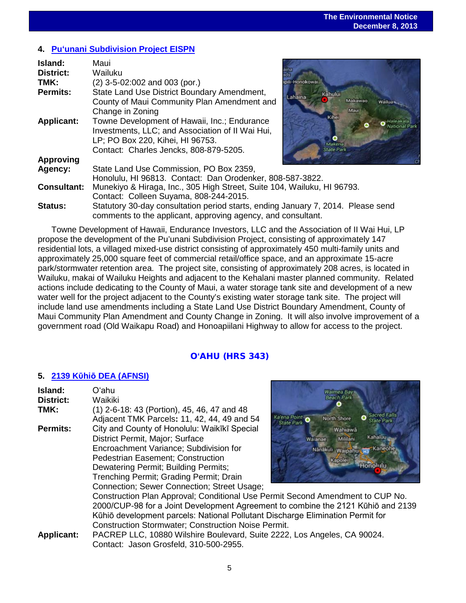### **4. Puʻ[unani Subdivision Project EISPN](http://oeqc.doh.hawaii.gov/Shared%20Documents/EA_and_EIS_Online_Library/Maui/2010s/2013-12-08-MA-5E-EISPN-Puunani-Subdivision-Project.pdf)**

| Island:            | Maui                                                                             |                    |
|--------------------|----------------------------------------------------------------------------------|--------------------|
| <b>District:</b>   | Wailuku                                                                          |                    |
| TMK:               | $(2)$ 3-5-02:002 and 003 (por.)                                                  | pili-Honokowai     |
| <b>Permits:</b>    | State Land Use District Boundary Amendment,                                      | Kahului<br>Lahaina |
|                    | County of Maui Community Plan Amendment and                                      | Makawao<br>Wailua  |
|                    | Change in Zoning                                                                 |                    |
| <b>Applicant:</b>  | Towne Development of Hawaii, Inc.; Endurance                                     | Kihei              |
|                    | Investments, LLC; and Association of II Wai Hui,                                 |                    |
|                    | LP; PO Box 220, Kihei, HI 96753.                                                 |                    |
|                    | Contact: Charles Jencks, 808-879-5205.                                           | <b>State Park</b>  |
| <b>Approving</b>   |                                                                                  |                    |
| Agency:            | State Land Use Commission, PO Box 2359,                                          |                    |
|                    | Honolulu, HI 96813. Contact: Dan Orodenker, 808-587-3822.                        |                    |
| <b>Consultant:</b> | Munekiyo & Hiraga, Inc., 305 High Street, Suite 104, Wailuku, HI 96793.          |                    |
|                    | Contact: Colleen Suyama, 808-244-2015.                                           |                    |
| <b>Status:</b>     | Statutory 30-day consultation period starts, ending January 7, 2014. Please send |                    |
|                    | comments to the applicant, approving agency, and consultant.                     |                    |

Towne Development of Hawaii, Endurance Investors, LLC and the Association of II Wai Hui, LP propose the development of the Pu'unani Subdivision Project, consisting of approximately 147 residential lots, a villaged mixed-use district consisting of approximately 450 multi-family units and approximately 25,000 square feet of commercial retail/office space, and an approximate 15-acre park/stormwater retention area. The project site, consisting of approximately 208 acres, is located in Wailuku, makai of Wailuku Heights and adjacent to the Kehalani master planned community. Related actions include dedicating to the County of Maui, a water storage tank site and development of a new water well for the project adjacent to the County's existing water storage tank site. The project will include land use amendments including a State Land Use District Boundary Amendment, County of Maui Community Plan Amendment and County Change in Zoning. It will also involve improvement of a government road (Old Waikapu Road) and Honoapiilani Highway to allow for access to the project.

### O**ʻ**AHU (HRS 343)

### **5. 2139 Kῡhiō [DEA \(AFNSI\)](http://oeqc.doh.hawaii.gov/Shared%20Documents/EA_and_EIS_Online_Library/Oahu/2010s/2013-12-08-OA-5E-DEA-2139-Kuhio.pdf)**

| Island:           | Oʻahu                                                                            | <b>Waimea Bay</b>                                       |  |  |
|-------------------|----------------------------------------------------------------------------------|---------------------------------------------------------|--|--|
| <b>District:</b>  | Waikiki                                                                          | <b>Beach Park</b>                                       |  |  |
| TMK:              | (1) 2-6-18: 43 (Portion), 45, 46, 47 and 48                                      |                                                         |  |  |
|                   | Adjacent TMK Parcels: 11, 42, 44, 49 and 54                                      | Ka'ena Point<br><b>North Shore</b><br><b>State Park</b> |  |  |
| <b>Permits:</b>   | City and County of Honolulu: Waikīkī Special                                     | Wahiawa                                                 |  |  |
|                   | District Permit, Major; Surface                                                  | <b>Kahaluu</b><br>Mililani<br>Walanae                   |  |  |
|                   | Encroachment Variance; Subdivision for                                           | -Kaneoh<br>Nānākuli Waipahus H3                         |  |  |
|                   | <b>Pedestrian Easement; Construction</b>                                         | Kapolei                                                 |  |  |
|                   | Dewatering Permit; Building Permits;                                             | <b>Honolulu</b>                                         |  |  |
|                   | Trenching Permit; Grading Permit; Drain                                          |                                                         |  |  |
|                   | Connection; Sewer Connection; Street Usage;                                      |                                                         |  |  |
|                   | Construction Plan Approval; Conditional Use Permit Second Amendment to CUP No.   |                                                         |  |  |
|                   | 2000/CUP-98 for a Joint Development Agreement to combine the 2121 Kūhiō and 2139 |                                                         |  |  |
|                   | Kūhiō development parcels: National Pollutant Discharge Elimination Permit for   |                                                         |  |  |
|                   | <b>Construction Stormwater; Construction Noise Permit.</b>                       |                                                         |  |  |
| <b>Applicant:</b> | PACREP LLC, 10880 Wilshire Boulevard, Suite 2222, Los Angeles, CA 90024.         |                                                         |  |  |
|                   | Contact: Jason Grosfeld, 310-500-2955.                                           |                                                         |  |  |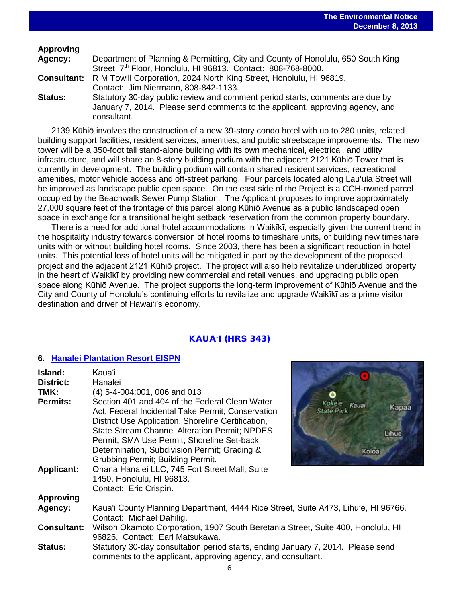### **Approving**

| Agency: | Department of Planning & Permitting, City and County of Honolulu, 650 South King                                                                                              |
|---------|-------------------------------------------------------------------------------------------------------------------------------------------------------------------------------|
|         | Street, 7 <sup>th</sup> Floor, Honolulu, HI 96813. Contact: 808-768-8000.                                                                                                     |
|         | <b>Consultant:</b> R M Towill Corporation, 2024 North King Street, Honolulu, HI 96819.                                                                                        |
|         | Contact: Jim Niermann, 808-842-1133.                                                                                                                                          |
| Status: | Statutory 30-day public review and comment period starts; comments are due by<br>January 7, 2014. Please send comments to the applicant, approving agency, and<br>consultant. |

2139 Kūhiō involves the construction of a new 39-story condo hotel with up to 280 units, related building support facilities, resident services, amenities, and public streetscape improvements. The new tower will be a 350-foot tall stand-alone building with its own mechanical, electrical, and utility infrastructure, and will share an 8-story building podium with the adjacent 2121 Kūhiō Tower that is currently in development. The building podium will contain shared resident services, recreational amenities, motor vehicle access and off-street parking. Four parcels located along Lau'ula Street will be improved as landscape public open space. On the east side of the Project is a CCH-owned parcel occupied by the Beachwalk Sewer Pump Station. The Applicant proposes to improve approximately 27,000 square feet of the frontage of this parcel along Kūhiō Avenue as a public landscaped open space in exchange for a transitional height setback reservation from the common property boundary.

There is a need for additional hotel accommodations in Waikīkī, especially given the current trend in the hospitality industry towards conversion of hotel rooms to timeshare units, or building new timeshare units with or without building hotel rooms. Since 2003, there has been a significant reduction in hotel units. This potential loss of hotel units will be mitigated in part by the development of the proposed project and the adjacent 2121 Kūhiō project. The project will also help revitalize underutilized property in the heart of Waikīkī by providing new commercial and retail venues, and upgrading public open space along Kūhiō Avenue. The project supports the long-term improvement of Kūhiō Avenue and the City and County of Honolulu's continuing efforts to revitalize and upgrade Waikīkī as a prime visitor destination and driver of Hawai'i's economy.

### KAUA**ʻ**I (HRS 343)

#### **6. [Hanalei Plantation Resort EISPN](http://oeqc.doh.hawaii.gov/Shared%20Documents/EA_and_EIS_Online_Library/Kauai/2010s/2013-12-08-KA-5E-EISPN-Hanalei-Plantation-Resort.pdf)**

| Island:            | Kauaʻi                                                                                                                                                                                                                                                                                                                                               |                                                                               |  |
|--------------------|------------------------------------------------------------------------------------------------------------------------------------------------------------------------------------------------------------------------------------------------------------------------------------------------------------------------------------------------------|-------------------------------------------------------------------------------|--|
| District:          | Hanalei                                                                                                                                                                                                                                                                                                                                              |                                                                               |  |
| TMK:               | (4) 5-4-004:001, 006 and 013                                                                                                                                                                                                                                                                                                                         |                                                                               |  |
| <b>Permits:</b>    | Section 401 and 404 of the Federal Clean Water<br>Act, Federal Incidental Take Permit; Conservation<br>District Use Application, Shoreline Certification,<br><b>State Stream Channel Alteration Permit; NPDES</b><br>Permit; SMA Use Permit; Shoreline Set-back<br>Determination, Subdivision Permit; Grading &<br>Grubbing Permit; Building Permit. | <b>Koke'e</b><br>Kauai<br><b>Kapaa</b><br><b>State Park</b><br>Lihue<br>Koloa |  |
| <b>Applicant:</b>  | Ohana Hanalei LLC, 745 Fort Street Mall, Suite<br>1450, Honolulu, HI 96813.<br>Contact: Eric Crispin.                                                                                                                                                                                                                                                |                                                                               |  |
| <b>Approving</b>   |                                                                                                                                                                                                                                                                                                                                                      |                                                                               |  |
| Agency:            | Kaua'i County Planning Department, 4444 Rice Street, Suite A473, Lihu'e, HI 96766.<br>Contact: Michael Dahilig.                                                                                                                                                                                                                                      |                                                                               |  |
| <b>Consultant:</b> | Wilson Okamoto Corporation, 1907 South Beretania Street, Suite 400, Honolulu, HI<br>96826. Contact: Earl Matsukawa.                                                                                                                                                                                                                                  |                                                                               |  |
| <b>Status:</b>     | Statutory 30-day consultation period starts, ending January 7, 2014. Please send<br>comments to the applicant, approving agency, and consultant.                                                                                                                                                                                                     |                                                                               |  |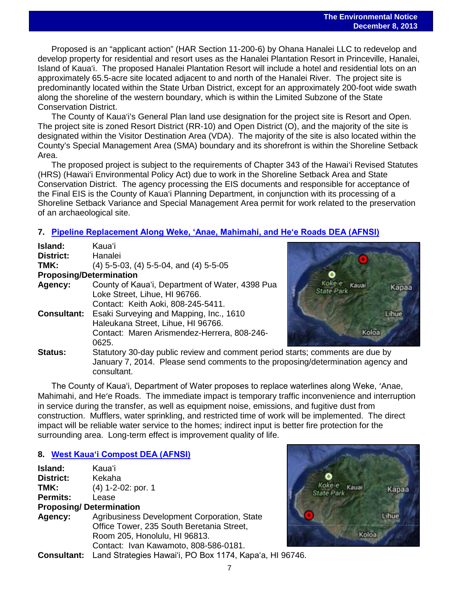Proposed is an "applicant action" (HAR Section 11-200-6) by Ohana Hanalei LLC to redevelop and develop property for residential and resort uses as the Hanalei Plantation Resort in Princeville, Hanalei, Island of Kaua'i. The proposed Hanalei Plantation Resort will include a hotel and residential lots on an approximately 65.5-acre site located adjacent to and north of the Hanalei River. The project site is predominantly located within the State Urban District, except for an approximately 200-foot wide swath along the shoreline of the western boundary, which is within the Limited Subzone of the State Conservation District.

The County of Kaua'i's General Plan land use designation for the project site is Resort and Open. The project site is zoned Resort District (RR-10) and Open District (O), and the majority of the site is designated within the Visitor Destination Area (VDA). The majority of the site is also located within the County's Special Management Area (SMA) boundary and its shorefront is within the Shoreline Setback Area.

The proposed project is subject to the requirements of Chapter 343 of the Hawai'i Revised Statutes (HRS) (Hawai'i Environmental Policy Act) due to work in the Shoreline Setback Area and State Conservation District. The agency processing the EIS documents and responsible for acceptance of the Final EIS is the County of Kaua'i Planning Department, in conjunction with its processing of a Shoreline Setback Variance and Special Management Area permit for work related to the preservation of an archaeological site.

### **7. [Pipeline Replacement Along Weke, ʻAnae, Mahimahi, and Heʻe Roads DEA \(AFNSI\)](http://oeqc.doh.hawaii.gov/Shared%20Documents/EA_and_EIS_Online_Library/Kauai/2010s/2013-12-08-KA-5B-DEA-Pipeline-Replacement-along-Weke-Anae-Mahimahi-Hee-Roads.pdf)**

| Island:                        | Kauaʻi                                               |
|--------------------------------|------------------------------------------------------|
| District:                      | Hanalei                                              |
| TMK:                           | $(4)$ 5-5-03, $(4)$ 5-5-04, and $(4)$ 5-5-05         |
| <b>Proposing/Determination</b> |                                                      |
| Agency:                        | County of Kaua'i, Department of Water, 4398 Pua      |
|                                | Loke Street, Lihue, HI 96766.                        |
|                                | Contact: Keith Aoki, 808-245-5411.                   |
| <b>Consultant:</b>             | Esaki Surveying and Mapping, Inc., 1610              |
|                                | Haleukana Street, Lihue, HI 96766.                   |
|                                | Contact: Maren Arismendez-Herrera, 808-246-          |
|                                | 0625.                                                |
| Status:                        | Statutory 30-day public review and comment perio     |
|                                | $l$ onuan $I$ , 2011. Dlosse send semmente to the pr |



od starts; comments are due by January 7, 2014. Please send comments to the proposing/determination agency and consultant.

The County of Kauaʻi, Department of Water proposes to replace waterlines along Weke, ʻAnae, Mahimahi, and Heʻe Roads. The immediate impact is temporary traffic inconvenience and interruption in service during the transfer, as well as equipment noise, emissions, and fugitive dust from construction. Mufflers, water sprinkling, and restricted time of work will be implemented. The direct impact will be reliable water service to the homes; indirect input is better fire protection for the surrounding area. Long-term effect is improvement quality of life.

### **8. W[est Kauaʻi Compost DEA \(AFNSI\)](http://oeqc.doh.hawaii.gov/Shared%20Documents/EA_and_EIS_Online_Library/Kauai/2010s/2013-12-08-5B-DEA-West-Kauai-Compost.pdf)**

| Island:          | Kauaʻi                                       |
|------------------|----------------------------------------------|
| <b>District:</b> | Kekaha                                       |
| TMK:             | (4) 1-2-02: por. 1                           |
| <b>Permits:</b>  | Lease                                        |
|                  | <b>Proposing/Determination</b>               |
| Agency:          | Agribusiness Development Corporation, State  |
|                  | Office Tower, 235 South Beretania Street,    |
|                  | Room 205, Honolulu, HI 96813.                |
|                  | Contact: Ivan Kawamoto, 808-586-0181.        |
| $P$ anoultanti   | Lond Ctrategies Houseii, DO Dev 1174, Kapais |



**Consultant:** Land Strategies Hawaiʻi, PO Box 1174, Kapaʻa, HI 96746.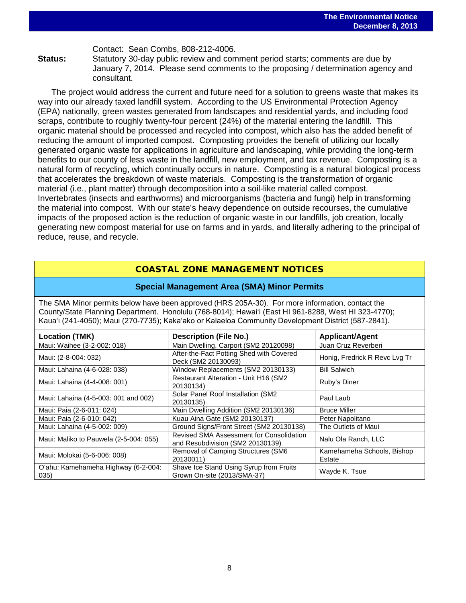Contact: Sean Combs, 808-212-4006.

**Status:** Statutory 30-day public review and comment period starts; comments are due by January 7, 2014. Please send comments to the proposing / determination agency and consultant.

The project would address the current and future need for a solution to greens waste that makes its way into our already taxed landfill system. According to the US Environmental Protection Agency (EPA) nationally, green wastes generated from landscapes and residential yards, and including food scraps, contribute to roughly twenty-four percent (24%) of the material entering the landfill. This organic material should be processed and recycled into compost, which also has the added benefit of reducing the amount of imported compost. Composting provides the benefit of utilizing our locally generated organic waste for applications in agriculture and landscaping, while providing the long-term benefits to our county of less waste in the landfill, new employment, and tax revenue. Composting is a natural form of recycling, which continually occurs in nature. Composting is a natural biological process that accelerates the breakdown of waste materials. Composting is the transformation of organic material (i.e., plant matter) through decomposition into a soil-like material called compost. Invertebrates (insects and earthworms) and microorganisms (bacteria and fungi) help in transforming the material into compost. With our state's heavy dependence on outside recourses, the cumulative impacts of the proposed action is the reduction of organic waste in our landfills, job creation, locally generating new compost material for use on farms and in yards, and literally adhering to the principal of reduce, reuse, and recycle.

### COASTAL ZONE MANAGEMENT NOTICES

#### **Special Management Area (SMA) Minor Permits**

The SMA Minor permits below have been approved (HRS 205A-30). For more information, contact the County/State Planning Department. Honolulu (768-8014); Hawaiʻi (East HI 961-8288, West HI 323-4770); Kauaʻi (241-4050); Maui (270-7735); Kakaʻako or Kalaeloa Community Development District (587-2841).

| Location (TMK)                              | <b>Description (File No.)</b>                                                | <b>Applicant/Agent</b>               |  |
|---------------------------------------------|------------------------------------------------------------------------------|--------------------------------------|--|
| Maui: Waihee (3-2-002: 018)                 | Main Dwelling, Carport (SM2 20120098)                                        | Juan Cruz Reverberi                  |  |
| Maui: (2-8-004: 032)                        | After-the-Fact Potting Shed with Covered<br>Deck (SM2 20130093)              | Honig, Fredrick R Revc Lvg Tr        |  |
| Maui: Lahaina (4-6-028: 038)                | Window Replacements (SM2 20130133)                                           | <b>Bill Salwich</b>                  |  |
| Maui: Lahaina (4-4-008: 001)                | Restaurant Alteration - Unit H16 (SM2<br>20130134)                           | Ruby's Diner                         |  |
| Maui: Lahaina (4-5-003: 001 and 002)        | Solar Panel Roof Installation (SM2<br>20130135)                              | Paul Laub                            |  |
| Maui: Paia (2-6-011: 024)                   | Main Dwelling Addition (SM2 20130136)                                        | <b>Bruce Miller</b>                  |  |
| Maui: Paia (2-6-010: 042)                   | Kuau Aina Gate (SM2 20130137)                                                | Peter Napolitano                     |  |
| Maui: Lahaina (4-5-002: 009)                | Ground Signs/Front Street (SM2 20130138)                                     | The Outlets of Maui                  |  |
| Maui: Maliko to Pauwela (2-5-004: 055)      | Revised SMA Assessment for Consolidation<br>and Resubdivision (SM2 20130139) | Nalu Ola Ranch, LLC                  |  |
| Maui: Molokai (5-6-006: 008)                | <b>Removal of Camping Structures (SM6</b><br>20130011)                       | Kamehameha Schools, Bishop<br>Estate |  |
| O'ahu: Kamehameha Highway (6-2-004:<br>035) | Shave Ice Stand Using Syrup from Fruits<br>Grown On-site (2013/SMA-37)       | Wayde K. Tsue                        |  |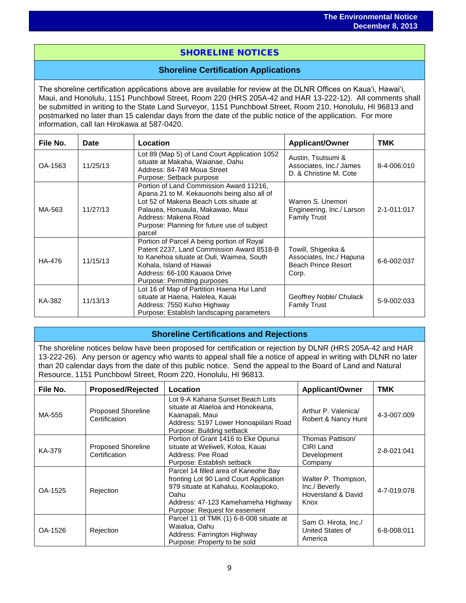## SHORELINE NOTICES

#### **Shoreline Certification Applications**

The shoreline certification applications above are available for review at the DLNR Offices on Kauaʻi, Hawaiʻi, Maui, and Honolulu, 1151 Punchbowl Street, Room 220 (HRS 205A-42 and HAR 13-222-12). All comments shall be submitted in writing to the State Land Surveyor, 1151 Punchbowl Street, Room 210, Honolulu, HI 96813 and postmarked no later than 15 calendar days from the date of the public notice of the application. For more information, call Ian Hirokawa at 587-0420.

| File No. | Date     | Location                                                                                                                                                                                                                                              | <b>Applicant/Owner</b>                                                         | <b>TMK</b>  |
|----------|----------|-------------------------------------------------------------------------------------------------------------------------------------------------------------------------------------------------------------------------------------------------------|--------------------------------------------------------------------------------|-------------|
| OA-1563  | 11/25/13 | Lot 89 (Map 5) of Land Court Application 1052<br>situate at Makaha, Waianae, Oahu<br>Address: 84-749 Moua Street<br>Purpose: Setback purpose                                                                                                          | Austin, Tsutsumi &<br>Associates, Inc./ James<br>D. & Christine M. Cote        | 8-4-006:010 |
| MA-563   | 11/27/13 | Portion of Land Commission Award 11216,<br>Apana 21 to M. Kekauonohi being also all of<br>Lot 52 of Makena Beach Lots situate at<br>Palauea, Honuaula, Makawao, Maui<br>Address: Makena Road<br>Purpose: Planning for future use of subject<br>parcel | Warren S. Unemori<br>Engineering, Inc./ Larson<br><b>Family Trust</b>          | 2-1-011:017 |
| HA-476   | 11/15/13 | Portion of Parcel A being portion of Royal<br>Patent 2237, Land Commission Award 8518-B<br>to Kanehoa situate at Ouli, Waimea, South<br>Kohala, Island of Hawaii<br>Address: 66-100 Kauaoa Drive<br>Purpose: Permitting purposes                      | Towill, Shigeoka &<br>Associates, Inc./ Hapuna<br>Beach Prince Resort<br>Corp. | 6-6-002:037 |
| KA-382   | 11/13/13 | Lot 16 of Map of Partition Haena Hui Land<br>situate at Haena, Halelea, Kauai<br>Address: 7550 Kuhio Highway<br>Purpose: Establish landscaping parameters                                                                                             | Geoffrey Noble/ Chulack<br><b>Family Trust</b>                                 | 5-9-002:033 |

#### **Shoreline Certifications and Rejections**

The shoreline notices below have been proposed for certification or rejection by DLNR (HRS 205A-42 and HAR 13-222-26). Any person or agency who wants to appeal shall file a notice of appeal in writing with DLNR no later than 20 calendar days from the date of this public notice. Send the appeal to the Board of Land and Natural Resource, 1151 Punchbowl Street, Room 220, Honolulu, HI 96813.

| File No. | <b>Proposed/Rejected</b>                   | Location                                                                                                                                                                                             | <b>Applicant/Owner</b>                                             | <b>TMK</b>  |
|----------|--------------------------------------------|------------------------------------------------------------------------------------------------------------------------------------------------------------------------------------------------------|--------------------------------------------------------------------|-------------|
| MA-555   | <b>Proposed Shoreline</b><br>Certification | Lot 9-A Kahana Sunset Beach Lots<br>situate at Alaeloa and Honokeana,<br>Kaanapali, Maui<br>Address: 5197 Lower Honoapiilani Road<br>Purpose: Building setback                                       | Arthur P. Valenica/<br>Robert & Nancy Hunt                         | 4-3-007:009 |
| KA-379   | <b>Proposed Shoreline</b><br>Certification | Portion of Grant 1416 to Eke Opunui<br>situate at Weliweli, Koloa, Kauai<br>Address: Pee Road<br>Purpose: Establish setback                                                                          | Thomas Pattison/<br>CIRI Land<br>Development<br>Company            | 2-8-021:041 |
| OA-1525  | Rejection                                  | Parcel 14 filled area of Kaneohe Bay<br>fronting Lot 90 Land Court Application<br>979 situate at Kahaluu, Koolaupoko,<br>Oahu<br>Address: 47-123 Kamehameha Highway<br>Purpose: Request for easement | Walter P. Thompson,<br>Inc./ Beverly<br>Hoversland & David<br>Knox | 4-7-019:078 |
| OA-1526  | Rejection                                  | Parcel 11 of TMK (1) 6-8-008 situate at<br>Waialua, Oahu<br>Address: Farrington Highway<br>Purpose: Property to be sold                                                                              | Sam O. Hirota, Inc./<br>United States of<br>America                | 6-8-008:011 |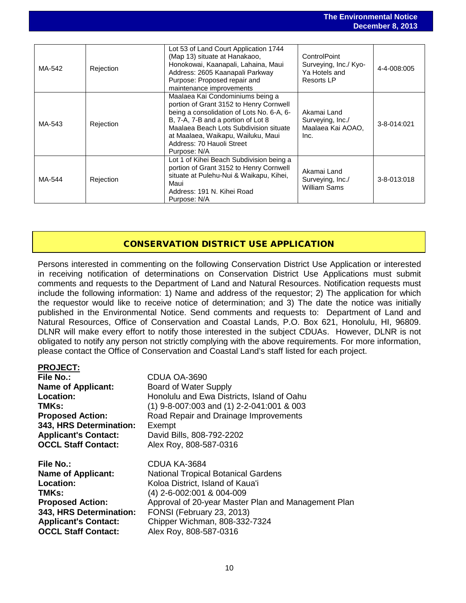|        |           |                                                                                                                                                                                                                                                                                             |                                                                             | Bederinger of Early |
|--------|-----------|---------------------------------------------------------------------------------------------------------------------------------------------------------------------------------------------------------------------------------------------------------------------------------------------|-----------------------------------------------------------------------------|---------------------|
|        |           |                                                                                                                                                                                                                                                                                             |                                                                             |                     |
| MA-542 | Rejection | Lot 53 of Land Court Application 1744<br>(Map 13) situate at Hanakaoo,<br>Honokowai, Kaanapali, Lahaina, Maui<br>Address: 2605 Kaanapali Parkway<br>Purpose: Proposed repair and<br>maintenance improvements                                                                                | ControlPoint<br>Surveying, Inc./ Kyo-<br>Ya Hotels and<br><b>Resorts LP</b> | 4-4-008:005         |
| MA-543 | Rejection | Maalaea Kai Condominiums being a<br>portion of Grant 3152 to Henry Cornwell<br>being a consolidation of Lots No. 6-A, 6-<br>B, 7-A, 7-B and a portion of Lot 8<br>Maalaea Beach Lots Subdivision situate<br>at Maalaea, Waikapu, Wailuku, Maui<br>Address: 70 Hauoli Street<br>Purpose: N/A | Akamai Land<br>Surveying, Inc./<br>Maalaea Kai AOAO,<br>Inc.                | 3-8-014:021         |
| MA-544 | Rejection | Lot 1 of Kihei Beach Subdivision being a<br>portion of Grant 3152 to Henry Cornwell<br>situate at Pulehu-Nui & Waikapu, Kihei,<br>Maui<br>Address: 191 N. Kihei Road<br>Purpose: N/A                                                                                                        | Akamai Land<br>Surveying, Inc./<br><b>William Sams</b>                      | 3-8-013:018         |

**The Environmental Notice** December 8, 2013

### CONSERVATION DISTRICT USE APPLICATION

Persons interested in commenting on the following Conservation District Use Application or interested in receiving notification of determinations on Conservation District Use Applications must submit comments and requests to the Department of Land and Natural Resources. Notification requests must include the following information: 1) Name and address of the requestor; 2) The application for which the requestor would like to receive notice of determination; and 3) The date the notice was initially published in the Environmental Notice. Send comments and requests to: Department of Land and Natural Resources, Office of Conservation and Coastal Lands, P.O. Box 621, Honolulu, HI, 96809. DLNR will make every effort to notify those interested in the subject CDUAs. However, DLNR is not obligated to notify any person not strictly complying with the above requirements. For more information, please contact the Office of Conservation and Coastal Land's staff listed for each project.

| <b>PROJECT:</b>             |                                                     |
|-----------------------------|-----------------------------------------------------|
| File No.:                   | CDUA OA-3690                                        |
| <b>Name of Applicant:</b>   | Board of Water Supply                               |
| <b>Location:</b>            | Honolulu and Ewa Districts, Island of Oahu          |
| TMKs:                       | $(1)$ 9-8-007:003 and $(1)$ 2-2-041:001 & 003       |
| <b>Proposed Action:</b>     | Road Repair and Drainage Improvements               |
| 343, HRS Determination:     | Exempt                                              |
| <b>Applicant's Contact:</b> | David Bills, 808-792-2202                           |
| <b>OCCL Staff Contact:</b>  | Alex Roy, 808-587-0316                              |
| File No.:                   | CDUA KA-3684                                        |
| <b>Name of Applicant:</b>   | <b>National Tropical Botanical Gardens</b>          |
| Location:                   | Koloa District, Island of Kaua'i                    |
| TMKs:                       | (4) 2-6-002:001 & 004-009                           |
| <b>Proposed Action:</b>     | Approval of 20-year Master Plan and Management Plan |
| 343, HRS Determination:     | FONSI (February 23, 2013)                           |
| <b>Applicant's Contact:</b> | Chipper Wichman, 808-332-7324                       |
| <b>OCCL Staff Contact:</b>  | Alex Roy, 808-587-0316                              |
|                             |                                                     |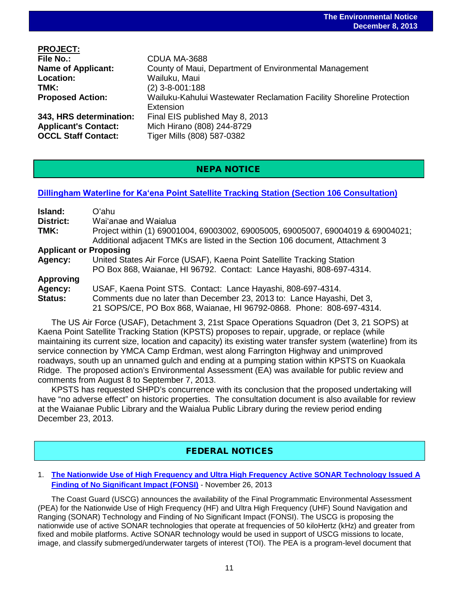| Wailuku-Kahului Wastewater Reclamation Facility Shoreline Protection |
|----------------------------------------------------------------------|
|                                                                      |
|                                                                      |
|                                                                      |
|                                                                      |
|                                                                      |

### NEPA NOTICE

#### **Dillingham Waterline for Kaʻena Point [Satellite Tracking Station \(Section 106 Consultation\)](http://oeqc.doh.hawaii.gov/Shared%20Documents/EA_and_EIS_Online_Library/OTHER%20CHAPTER%20343%20NOTICES/2013-12-08-Dillingham-Waterline-Kaena-Point-Satellite-Tracking-Station-Section-106-Consultation.pdf)**

| Island:                                                                                        | Oʻahu                                                                           |  |
|------------------------------------------------------------------------------------------------|---------------------------------------------------------------------------------|--|
| District:                                                                                      | Wai'anae and Waialua                                                            |  |
| TMK:                                                                                           | Project within (1) 69001004, 69003002, 69005005, 69005007, 69004019 & 69004021; |  |
|                                                                                                | Additional adjacent TMKs are listed in the Section 106 document, Attachment 3   |  |
| <b>Applicant or Proposing</b>                                                                  |                                                                                 |  |
| Agency:                                                                                        | United States Air Force (USAF), Kaena Point Satellite Tracking Station          |  |
|                                                                                                | PO Box 868, Waianae, HI 96792. Contact: Lance Hayashi, 808-697-4314.            |  |
| <b>Approving</b>                                                                               |                                                                                 |  |
| Agency:                                                                                        | USAF, Kaena Point STS. Contact: Lance Hayashi, 808-697-4314.                    |  |
| Status:                                                                                        | Comments due no later than December 23, 2013 to: Lance Hayashi, Det 3,          |  |
|                                                                                                | 21 SOPS/CE, PO Box 868, Waianae, HI 96792-0868. Phone: 808-697-4314.            |  |
| The U.S. Air Force (U.S.A.F.) Detachment 3, 21st Space Operations Squadron (Det 3, 21 SOPS) at |                                                                                 |  |

JS Air Force (USAF), Detachment 3, 21st Space Operations Squadron (Det 3, 21 SOPS) at Kaena Point Satellite Tracking Station (KPSTS) proposes to repair, upgrade, or replace (while maintaining its current size, location and capacity) its existing water transfer system (waterline) from its service connection by YMCA Camp Erdman, west along Farrington Highway and unimproved roadways, south up an unnamed gulch and ending at a pumping station within KPSTS on Kuaokala Ridge. The proposed action's Environmental Assessment (EA) was available for public review and comments from August 8 to September 7, 2013.

KPSTS has requested SHPD's concurrence with its conclusion that the proposed undertaking will have "no adverse effect" on historic properties. The consultation document is also available for review at the Waianae Public Library and the Waialua Public Library during the review period ending December 23, 2013.

### FEDERAL NOTICES

#### 1. **[The Nationwide Use of High Frequency and Ultra High Frequency Active SONAR Technology Issued A](http://www.gpo.gov/fdsys/pkg/FR-2013-11-26/pdf/2013-28337.pdf)  [Finding of No Significant Impact \(FONSI\)](http://www.gpo.gov/fdsys/pkg/FR-2013-11-26/pdf/2013-28337.pdf)** - November 26, 2013

The Coast Guard (USCG) announces the availability of the Final Programmatic Environmental Assessment (PEA) for the Nationwide Use of High Frequency (HF) and Ultra High Frequency (UHF) Sound Navigation and Ranging (SONAR) Technology and Finding of No Significant Impact (FONSI). The USCG is proposing the nationwide use of active SONAR technologies that operate at frequencies of 50 kiloHertz (kHz) and greater from fixed and mobile platforms. Active SONAR technology would be used in support of USCG missions to locate, image, and classify submerged/underwater targets of interest (TOI). The PEA is a program-level document that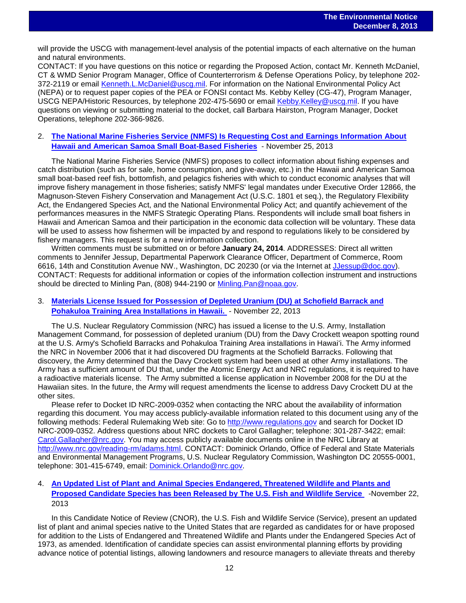will provide the USCG with management-level analysis of the potential impacts of each alternative on the human and natural environments.

CONTACT: If you have questions on this notice or regarding the Proposed Action, contact Mr. Kenneth McDaniel, CT & WMD Senior Program Manager, Office of Counterterrorism & Defense Operations Policy, by telephone 202- 372-2119 or email [Kenneth.L.McDaniel@uscg.mil.](mailto:Kenneth.L.McDaniel@uscg.mil) For information on the National Environmental Policy Act (NEPA) or to request paper copies of the PEA or FONSI contact Ms. Kebby Kelley (CG-47), Program Manager, USCG NEPA/Historic Resources, by telephone 202-475-5690 or email [Kebby.Kelley@uscg.mil.](mailto:Kebby.Kelley@uscg.mil) If you have questions on viewing or submitting material to the docket, call Barbara Hairston, Program Manager, Docket Operations, telephone 202-366-9826.

#### 2. **[The National Marine Fisheries Service \(NMFS\) Is Requesting Cost and Earnings Information About](http://www.gpo.gov/fdsys/pkg/FR-2013-11-25/pdf/2013-28163.pdf)  [Hawaii and American Samoa Small Boat-Based Fisheries](http://www.gpo.gov/fdsys/pkg/FR-2013-11-25/pdf/2013-28163.pdf)** - November 25, 2013

The National Marine Fisheries Service (NMFS) proposes to collect information about fishing expenses and catch distribution (such as for sale, home consumption, and give-away, etc.) in the Hawaii and American Samoa small boat-based reef fish, bottomfish, and pelagics fisheries with which to conduct economic analyses that will improve fishery management in those fisheries; satisfy NMFS' legal mandates under Executive Order 12866, the Magnuson-Steven Fishery Conservation and Management Act (U.S.C. 1801 et seq.), the Regulatory Flexibility Act, the Endangered Species Act, and the National Environmental Policy Act; and quantify achievement of the performances measures in the NMFS Strategic Operating Plans. Respondents will include small boat fishers in Hawaii and American Samoa and their participation in the economic data collection will be voluntary. These data will be used to assess how fishermen will be impacted by and respond to regulations likely to be considered by fishery managers. This request is for a new information collection.

Written comments must be submitted on or before **January 24, 2014**. ADDRESSES: Direct all written comments to Jennifer Jessup, Departmental Paperwork Clearance Officer, Department of Commerce, Room 6616, 14th and Constitution Avenue NW., Washington, DC 20230 (or via the Internet at [JJessup@doc.gov\)](mailto:JJessup@doc.gov). CONTACT: Requests for additional information or copies of the information collection instrument and instructions should be directed to Minling Pan, (808) 944-2190 or [Minling.Pan@noaa.gov.](mailto:Minling.Pan@noaa.gov)

#### 3. **[Materials License Issued for Possession of Depleted Uranium \(DU\) at Schofield Barrack and](http://www.gpo.gov/fdsys/pkg/FR-2013-11-22/pdf/2013-28058.pdf)  [Pohakuloa Training Area Installations in Hawaii.](http://www.gpo.gov/fdsys/pkg/FR-2013-11-22/pdf/2013-28058.pdf)** - November 22, 2013

The U.S. Nuclear Regulatory Commission (NRC) has issued a license to the U.S. Army, Installation Management Command, for possession of depleted uranium (DU) from the Davy Crockett weapon spotting round at the U.S. Army's Schofield Barracks and Pohakuloa Training Area installations in Hawaiʻi. The Army informed the NRC in November 2006 that it had discovered DU fragments at the Schofield Barracks. Following that discovery, the Army determined that the Davy Crockett system had been used at other Army installations. The Army has a sufficient amount of DU that, under the Atomic Energy Act and NRC regulations, it is required to have a radioactive materials license. The Army submitted a license application in November 2008 for the DU at the Hawaiian sites. In the future, the Army will request amendments the license to address Davy Crockett DU at the other sites.

Please refer to Docket ID NRC-2009-0352 when contacting the NRC about the availability of information regarding this document. You may access publicly-available information related to this document using any of the following methods: Federal Rulemaking Web site: Go to [http://www.regulations.gov](http://www.regulations.gov/) and search for Docket ID NRC-2009-0352. Address questions about NRC dockets to Carol Gallagher; telephone: 301-287-3422; email: [Carol.Gallagher@nrc.gov.](mailto:Carol.Gallagher@nrc.gov) You may access publicly available documents online in the NRC Library at [http://www.nrc.gov/reading-rm/adams.html.](http://www.nrc.gov/reading-rm/adams.html) CONTACT: Dominick Orlando, Office of Federal and State Materials and Environmental Management Programs, U.S. Nuclear Regulatory Commission, Washington DC 20555-0001, telephone: 301-415-6749, email: [Dominick.Orlando@nrc.gov.](mailto:Dominick.Orlando@nrc.gov)

#### 4. **[An Updated List of Plant and Animal Species Endangered, Threatened Wildlife and Plants and](http://www.gpo.gov/fdsys/pkg/FR-2013-11-22/pdf/2013-27391.pdf)  [Proposed Candidate Species has been Released by The U.S. Fish and Wildlife Service](http://www.gpo.gov/fdsys/pkg/FR-2013-11-22/pdf/2013-27391.pdf)** -November 22, 2013

In this Candidate Notice of Review (CNOR), the U.S. Fish and Wildlife Service (Service), present an updated list of plant and animal species native to the United States that are regarded as candidates for or have proposed for addition to the Lists of Endangered and Threatened Wildlife and Plants under the Endangered Species Act of 1973, as amended. Identification of candidate species can assist environmental planning efforts by providing advance notice of potential listings, allowing landowners and resource managers to alleviate threats and thereby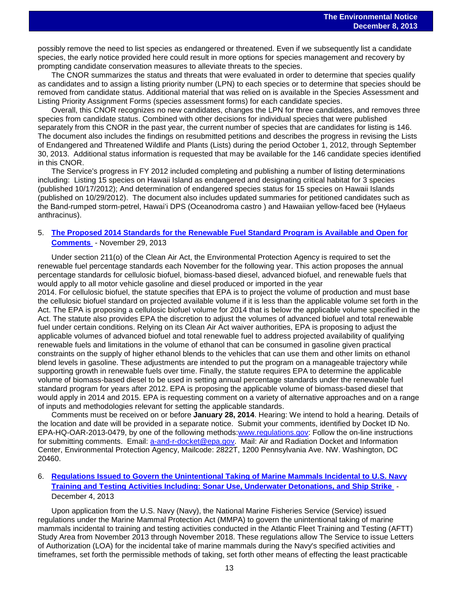possibly remove the need to list species as endangered or threatened. Even if we subsequently list a candidate species, the early notice provided here could result in more options for species management and recovery by prompting candidate conservation measures to alleviate threats to the species.

The CNOR summarizes the status and threats that were evaluated in order to determine that species qualify as candidates and to assign a listing priority number (LPN) to each species or to determine that species should be removed from candidate status. Additional material that was relied on is available in the Species Assessment and Listing Priority Assignment Forms (species assessment forms) for each candidate species.

Overall, this CNOR recognizes no new candidates, changes the LPN for three candidates, and removes three species from candidate status. Combined with other decisions for individual species that were published separately from this CNOR in the past year, the current number of species that are candidates for listing is 146. The document also includes the findings on resubmitted petitions and describes the progress in revising the Lists of Endangered and Threatened Wildlife and Plants (Lists) during the period October 1, 2012, through September 30, 2013. Additional status information is requested that may be available for the 146 candidate species identified in this CNOR.

The Service's progress in FY 2012 included completing and publishing a number of listing determinations including: Listing 15 species on Hawaii Island as endangered and designating critical habitat for 3 species (published 10/17/2012); And determination of endangered species status for 15 species on Hawaii Islands (published on 10/29/2012). The document also includes updated summaries for petitioned candidates such as the Band-rumped storm-petrel, Hawaiʻi DPS (Oceanodroma castro ) and Hawaiian yellow-faced bee (Hylaeus anthracinus).

#### 5. **The Proposed 2014 Standards [for the Renewable Fuel Standard Program is Available and Open for](http://www.gpo.gov/fdsys/pkg/FR-2013-11-29/pdf/2013-28155.pdf)  [Comments](http://www.gpo.gov/fdsys/pkg/FR-2013-11-29/pdf/2013-28155.pdf)** - November 29, 2013

Under section 211(o) of the Clean Air Act, the Environmental Protection Agency is required to set the renewable fuel percentage standards each November for the following year. This action proposes the annual percentage standards for cellulosic biofuel, biomass-based diesel, advanced biofuel, and renewable fuels that would apply to all motor vehicle gasoline and diesel produced or imported in the year

2014. For cellulosic biofuel, the statute specifies that EPA is to project the volume of production and must base the cellulosic biofuel standard on projected available volume if it is less than the applicable volume set forth in the Act. The EPA is proposing a cellulosic biofuel volume for 2014 that is below the applicable volume specified in the Act. The statute also provides EPA the discretion to adjust the volumes of advanced biofuel and total renewable fuel under certain conditions. Relying on its Clean Air Act waiver authorities, EPA is proposing to adjust the applicable volumes of advanced biofuel and total renewable fuel to address projected availability of qualifying renewable fuels and limitations in the volume of ethanol that can be consumed in gasoline given practical constraints on the supply of higher ethanol blends to the vehicles that can use them and other limits on ethanol blend levels in gasoline. These adjustments are intended to put the program on a manageable trajectory while supporting growth in renewable fuels over time. Finally, the statute requires EPA to determine the applicable volume of biomass-based diesel to be used in setting annual percentage standards under the renewable fuel standard program for years after 2012. EPA is proposing the applicable volume of biomass-based diesel that would apply in 2014 and 2015. EPA is requesting comment on a variety of alternative approaches and on a range of inputs and methodologies relevant for setting the applicable standards.

Comments must be received on or before **January 28, 2014**. Hearing: We intend to hold a hearing. Details of the location and date will be provided in a separate notice. Submit your comments, identified by Docket ID No. EPA-HQ-OAR-2013-0479, by one of the following methods[:www.regulations.gov:](http://www.regulations.gov/) Follow the on-line instructions for submitting comments. Email: [a-and-r-docket@epa.gov.](mailto:a-and-r-docket@epa.gov) Mail: Air and Radiation Docket and Information Center, Environmental Protection Agency, Mailcode: 2822T, 1200 Pennsylvania Ave. NW. Washington, DC 20460.

#### 6. **[Regulations Issued to Govern the Unintentional Taking of Marine Mammals Incidental to](http://www.gpo.gov/fdsys/pkg/FR-2013-12-04/pdf/2013-27846.pdf) U.S. Navy [Training and Testing Activities Including: Sonar Use, Underwater Detonations, and Ship Strike](http://www.gpo.gov/fdsys/pkg/FR-2013-12-04/pdf/2013-27846.pdf)** - December 4, 2013

Upon application from the U.S. Navy (Navy), the National Marine Fisheries Service (Service) issued regulations under the Marine Mammal Protection Act (MMPA) to govern the unintentional taking of marine mammals incidental to training and testing activities conducted in the Atlantic Fleet Training and Testing (AFTT) Study Area from November 2013 through November 2018. These regulations allow The Service to issue Letters of Authorization (LOA) for the incidental take of marine mammals during the Navy's specified activities and timeframes, set forth the permissible methods of taking, set forth other means of effecting the least practicable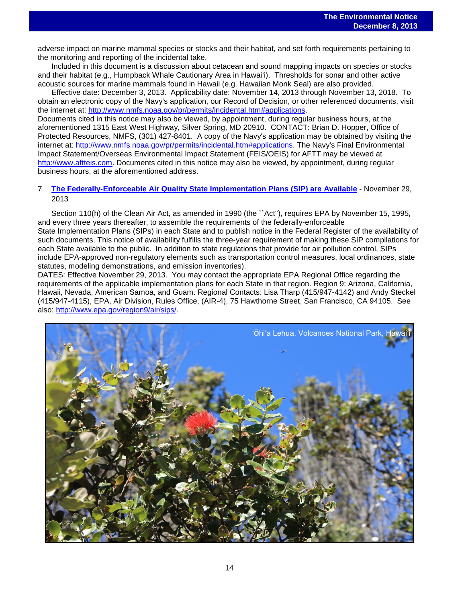adverse impact on marine mammal species or stocks and their habitat, and set forth requirements pertaining to the monitoring and reporting of the incidental take.

Included in this document is a discussion about cetacean and sound mapping impacts on species or stocks and their habitat (e.g., Humpback Whale Cautionary Area in Hawaiʻi). Thresholds for sonar and other active acoustic sources for marine mammals found in Hawaii (e.g. Hawaiian Monk Seal) are also provided.

Effective date: December 3, 2013. Applicability date: November 14, 2013 through November 13, 2018. To obtain an electronic copy of the Navy's application, our Record of Decision, or other referenced documents, visit the internet at: [http://www.nmfs.noaa.gov/pr/permits/incidental.htm#applications.](http://www.nmfs.noaa.gov/pr/permits/incidental.htm#applications)

Documents cited in this notice may also be viewed, by appointment, during regular business hours, at the aforementioned 1315 East West Highway, Silver Spring, MD 20910. CONTACT: Brian D. Hopper, Office of Protected Resources, NMFS, (301) 427-8401. A copy of the Navy's application may be obtained by visiting the internet at: [http://www.nmfs.noaa.gov/pr/permits/incidental.htm#applications.](http://www.nmfs.noaa.gov/pr/permits/incidental.htm#applications) The Navy's Final Environmental Impact Statement/Overseas Environmental Impact Statement (FEIS/OEIS) for AFTT may be viewed at [http://www.aftteis.com.](http://www.aftteis.com/) Documents cited in this notice may also be viewed, by appointment, during regular business hours, at the aforementioned address.

#### 7. **[The Federally-Enforceable Air Quality State Implementation](http://www.gpo.gov/fdsys/pkg/FR-2013-11-29/pdf/2013-28241.pdf) Plans (SIP) are Available** - November 29, 2013

Section 110(h) of the Clean Air Act, as amended in 1990 (the `Act''), requires EPA by November 15, 1995, and every three years thereafter, to assemble the requirements of the federally-enforceable State Implementation Plans (SIPs) in each State and to publish notice in the Federal Register of the availability of such documents. This notice of availability fulfills the three-year requirement of making these SIP compilations for each State available to the public. In addition to state regulations that provide for air pollution control, SIPs include EPA-approved non-regulatory elements such as transportation control measures, local ordinances, state statutes, modeling demonstrations, and emission inventories).

DATES: Effective November 29, 2013. You may contact the appropriate EPA Regional Office regarding the requirements of the applicable implementation plans for each State in that region. Region 9: Arizona, California, Hawaii, Nevada, American Samoa, and Guam. Regional Contacts: Lisa Tharp (415/947-4142) and Andy Steckel (415/947-4115), EPA, Air Division, Rules Office, (AIR-4), 75 Hawthorne Street, San Francisco, CA 94105. See also: [http://www.epa.gov/region9/air/sips/.](http://www.epa.gov/region9/air/sips/)